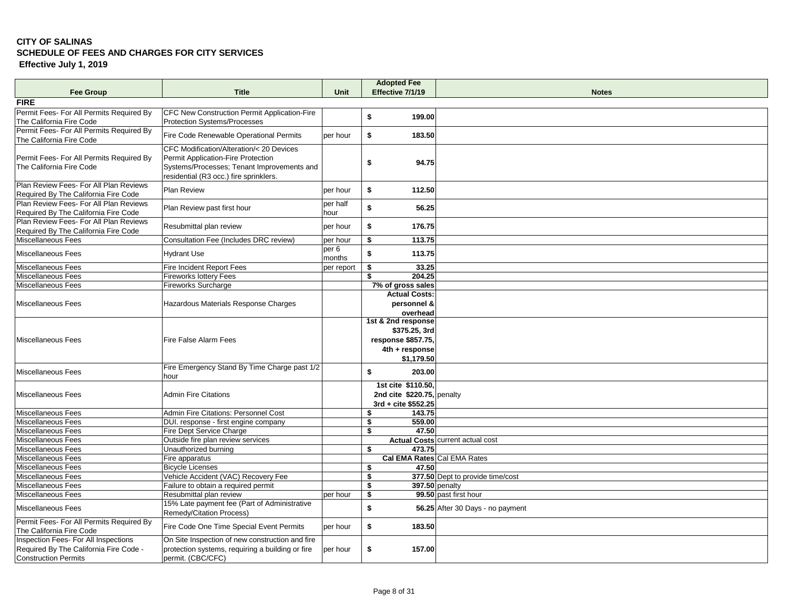## **CITY OF SALINAS SCHEDULE OF FEES AND CHARGES FOR CITY SERVICES Effective July 1, 2019**

| <b>Fee Group</b>                                                                                           | <b>Title</b>                                                                                                               | <b>Unit</b>      | <b>Adopted Fee</b><br>Effective 7/1/19                                                    | <b>Notes</b>                            |
|------------------------------------------------------------------------------------------------------------|----------------------------------------------------------------------------------------------------------------------------|------------------|-------------------------------------------------------------------------------------------|-----------------------------------------|
| <b>FIRE</b>                                                                                                |                                                                                                                            |                  |                                                                                           |                                         |
| Permit Fees- For All Permits Required By<br>The California Fire Code                                       | CFC New Construction Permit Application-Fire<br><b>Protection Systems/Processes</b>                                        |                  | \$<br>199.00                                                                              |                                         |
| Permit Fees- For All Permits Required By                                                                   | Fire Code Renewable Operational Permits                                                                                    | per hour         | \$<br>183.50                                                                              |                                         |
| The California Fire Code                                                                                   | CFC Modification/Alteration/< 20 Devices                                                                                   |                  |                                                                                           |                                         |
| Permit Fees- For All Permits Required By<br>The California Fire Code                                       | Permit Application-Fire Protection<br>Systems/Processes; Tenant Improvements and<br>residential (R3 occ.) fire sprinklers. |                  | \$<br>94.75                                                                               |                                         |
| Plan Review Fees- For All Plan Reviews<br>Required By The California Fire Code                             | <b>Plan Review</b>                                                                                                         | per hour         | \$<br>112.50                                                                              |                                         |
| Plan Review Fees- For All Plan Reviews<br>Required By The California Fire Code                             | Plan Review past first hour                                                                                                | per half<br>hour | \$<br>56.25                                                                               |                                         |
| Plan Review Fees- For All Plan Reviews<br>Required By The California Fire Code                             | Resubmittal plan review                                                                                                    | per hour         | \$<br>176.75                                                                              |                                         |
| Miscellaneous Fees                                                                                         | Consultation Fee (Includes DRC review)                                                                                     | per hour         | \$<br>113.75                                                                              |                                         |
| <b>Miscellaneous Fees</b>                                                                                  | <b>Hydrant Use</b>                                                                                                         | per 6<br>months  | \$<br>113.75                                                                              |                                         |
| <b>Miscellaneous Fees</b>                                                                                  | <b>Fire Incident Report Fees</b>                                                                                           | per report       | \$<br>33.25                                                                               |                                         |
| Miscellaneous Fees                                                                                         | <b>Fireworks lottery Fees</b>                                                                                              |                  | 204.25<br>\$                                                                              |                                         |
| Miscellaneous Fees                                                                                         | <b>Fireworks Surcharge</b>                                                                                                 |                  | 7% of gross sales                                                                         |                                         |
| Miscellaneous Fees                                                                                         | Hazardous Materials Response Charges                                                                                       |                  | <b>Actual Costs:</b><br>personnel &<br>overhead                                           |                                         |
| <b>Miscellaneous Fees</b>                                                                                  | Fire False Alarm Fees                                                                                                      |                  | 1st & 2nd response<br>\$375.25, 3rd<br>response \$857.75,<br>4th + response<br>\$1,179.50 |                                         |
| <b>Miscellaneous Fees</b>                                                                                  | Fire Emergency Stand By Time Charge past 1/2<br>hour                                                                       |                  | \$<br>203.00                                                                              |                                         |
| Miscellaneous Fees                                                                                         | <b>Admin Fire Citations</b>                                                                                                |                  | 1st cite \$110.50.<br>2nd cite \$220.75, penalty<br>3rd + cite \$552.25                   |                                         |
| <b>Miscellaneous Fees</b>                                                                                  | Admin Fire Citations: Personnel Cost                                                                                       |                  | \$<br>143.75                                                                              |                                         |
| Miscellaneous Fees                                                                                         | DUI. response - first engine company                                                                                       |                  | 559.00<br>\$                                                                              |                                         |
| <b>Miscellaneous Fees</b>                                                                                  | Fire Dept Service Charge                                                                                                   |                  | 47.50<br>\$                                                                               |                                         |
| Miscellaneous Fees                                                                                         | Outside fire plan review services                                                                                          |                  |                                                                                           | Actual Costs current actual cost        |
| Miscellaneous Fees                                                                                         | Unauthorized burning                                                                                                       |                  | \$<br>473.75                                                                              |                                         |
| Miscellaneous Fees                                                                                         | Fire apparatus                                                                                                             |                  | Cal EMA Rates Cal EMA Rates                                                               |                                         |
| <b>Miscellaneous Fees</b>                                                                                  | <b>Bicycle Licenses</b>                                                                                                    |                  | 47.50<br>\$                                                                               |                                         |
| Miscellaneous Fees                                                                                         | Vehicle Accident (VAC) Recovery Fee                                                                                        |                  | \$                                                                                        | 377.50 Dept to provide time/cost        |
| Miscellaneous Fees<br>Miscellaneous Fees                                                                   | Failure to obtain a required permit                                                                                        |                  | \$                                                                                        | 397.50 penalty<br>99.50 past first hour |
| <b>Miscellaneous Fees</b>                                                                                  | Resubmittal plan review<br>15% Late payment fee (Part of Administrative<br>Remedy/Citation Process)                        | per hour         | \$<br>\$                                                                                  | 56.25 After 30 Days - no payment        |
| Permit Fees- For All Permits Required By                                                                   | Fire Code One Time Special Event Permits                                                                                   | per hour         | \$<br>183.50                                                                              |                                         |
| The California Fire Code<br>Inspection Fees- For All Inspections<br>Required By The California Fire Code - | On Site Inspection of new construction and fire<br>protection systems, requiring a building or fire                        | per hour         | \$<br>157.00                                                                              |                                         |
| <b>Construction Permits</b>                                                                                | permit. (CBC/CFC)                                                                                                          |                  |                                                                                           |                                         |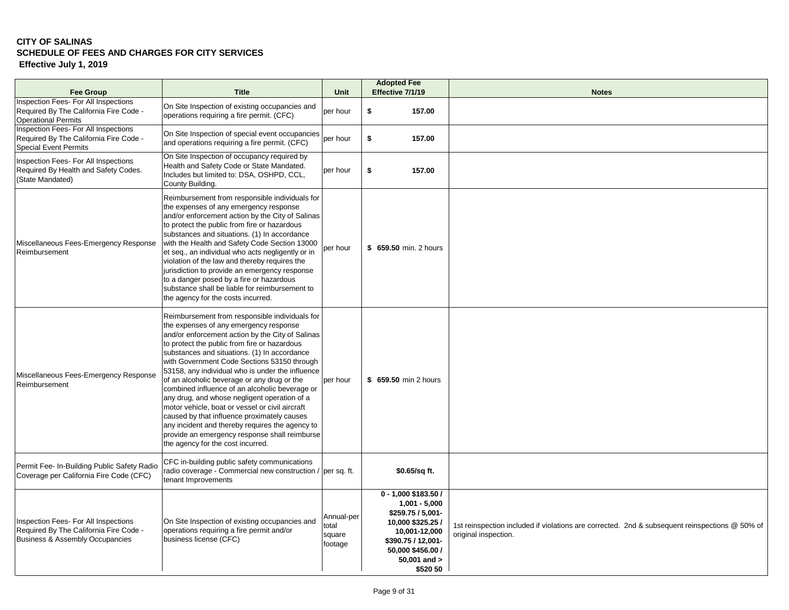## **CITY OF SALINAS SCHEDULE OF FEES AND CHARGES FOR CITY SERVICES Effective July 1, 2019**

| <b>Fee Group</b>                                                                                                             | <b>Title</b>                                                                                                                                                                                                                                                                                                                                                                                                                                                                                                                                                                                                                                                                                                                                | <b>Unit</b>                              | <b>Adopted Fee</b><br>Effective 7/1/19                                                                                                                                    | <b>Notes</b>                                                                                                           |
|------------------------------------------------------------------------------------------------------------------------------|---------------------------------------------------------------------------------------------------------------------------------------------------------------------------------------------------------------------------------------------------------------------------------------------------------------------------------------------------------------------------------------------------------------------------------------------------------------------------------------------------------------------------------------------------------------------------------------------------------------------------------------------------------------------------------------------------------------------------------------------|------------------------------------------|---------------------------------------------------------------------------------------------------------------------------------------------------------------------------|------------------------------------------------------------------------------------------------------------------------|
| Inspection Fees- For All Inspections<br>Required By The California Fire Code -<br><b>Operational Permits</b>                 | On Site Inspection of existing occupancies and<br>operations requiring a fire permit. (CFC)                                                                                                                                                                                                                                                                                                                                                                                                                                                                                                                                                                                                                                                 | per hour                                 | \$<br>157.00                                                                                                                                                              |                                                                                                                        |
| Inspection Fees- For All Inspections<br>Required By The California Fire Code -<br><b>Special Event Permits</b>               | On Site Inspection of special event occupancies<br>and operations requiring a fire permit. (CFC)                                                                                                                                                                                                                                                                                                                                                                                                                                                                                                                                                                                                                                            | per hour                                 | \$<br>157.00                                                                                                                                                              |                                                                                                                        |
| Inspection Fees- For All Inspections<br>Required By Health and Safety Codes.<br>(State Mandated)                             | On Site Inspection of occupancy required by<br>Health and Safety Code or State Mandated.<br>Includes but limited to: DSA, OSHPD, CCL,<br>County Building.                                                                                                                                                                                                                                                                                                                                                                                                                                                                                                                                                                                   | lper hour                                | \$<br>157.00                                                                                                                                                              |                                                                                                                        |
| Miscellaneous Fees-Emergency Response<br>Reimbursement                                                                       | Reimbursement from responsible individuals for<br>the expenses of any emergency response<br>and/or enforcement action by the City of Salinas<br>to protect the public from fire or hazardous<br>substances and situations. (1) In accordance<br>with the Health and Safety Code Section 13000<br>et seq., an individual who acts negligently or in<br>violation of the law and thereby requires the<br>jurisdiction to provide an emergency response<br>to a danger posed by a fire or hazardous<br>substance shall be liable for reimbursement to<br>the agency for the costs incurred.                                                                                                                                                    | per hour                                 | \$ 659.50 min. 2 hours                                                                                                                                                    |                                                                                                                        |
| Miscellaneous Fees-Emergency Response<br>Reimbursement                                                                       | Reimbursement from responsible individuals for<br>the expenses of any emergency response<br>and/or enforcement action by the City of Salinas<br>to protect the public from fire or hazardous<br>substances and situations. (1) In accordance<br>with Government Code Sections 53150 through<br>53158, any individual who is under the influence<br>of an alcoholic beverage or any drug or the<br>combined influence of an alcoholic beverage or<br>any drug, and whose negligent operation of a<br>motor vehicle, boat or vessel or civil aircraft<br>caused by that influence proximately causes<br>any incident and thereby requires the agency to<br>provide an emergency response shall reimburse<br>the agency for the cost incurred. | per hour                                 | \$659.50 min 2 hours                                                                                                                                                      |                                                                                                                        |
| Permit Fee- In-Building Public Safety Radio<br>Coverage per California Fire Code (CFC)                                       | CFC in-building public safety communications<br>radio coverage - Commercial new construction / per sq. ft.<br>tenant Improvements                                                                                                                                                                                                                                                                                                                                                                                                                                                                                                                                                                                                           |                                          | \$0.65/sq ft.                                                                                                                                                             |                                                                                                                        |
| Inspection Fees- For All Inspections<br>Required By The California Fire Code -<br><b>Business &amp; Assembly Occupancies</b> | On Site Inspection of existing occupancies and<br>operations requiring a fire permit and/or<br>business license (CFC)                                                                                                                                                                                                                                                                                                                                                                                                                                                                                                                                                                                                                       | Annual-per<br>total<br>square<br>footage | 0 - 1,000 \$183.50 /<br>$1,001 - 5,000$<br>\$259.75 / 5,001-<br>10,000 \$325.25 /<br>10,001-12,000<br>\$390.75 / 12,001-<br>50,000 \$456.00 /<br>50,001 and ><br>\$520 50 | 1st reinspection included if violations are corrected. 2nd & subsequent reinspections @ 50% of<br>original inspection. |